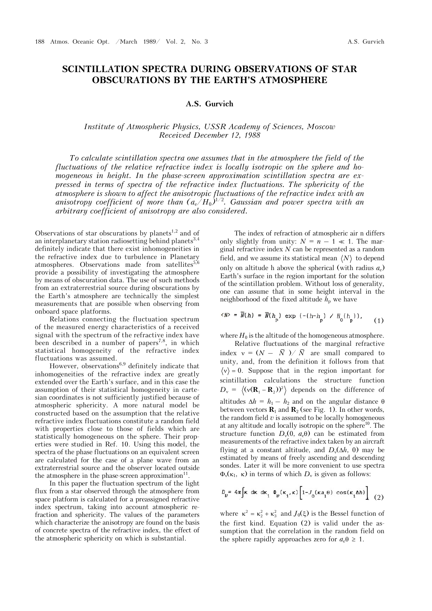## **SCINTILLATION SPECTRA DURING OBSERVATIONS OF STAR OBSCURATIONS BY THE EARTH'S ATMOSPHERE**

## **A.S. Gurvich**

## *Institute of Atmospheric Physics, USSR Academy of Sciences, Moscow Received December 12, 1988*

*To calculate scintillation spectra one assumes that in the atmosphere the field of the fluctuations of the relative refractive index is locally isotropic on the sphere and homogeneous in height. In the phase-screen approximation scintillation spectra are expressed in terms of spectra of the refractive index fluctuations. The sphericity of the atmosphere is shown to affect the anisotropic fluctuations of the refractive index with an anisotropy coefficient of more than*  $(a_e/H_0)^{1/2}$ *. Gaussian and power spectra with an arbitrary coefficient of anisotropy are also considered.*

Observations of star obscurations by planets<sup>1,2</sup> and of an interplanetary station radiosetting behind planets<sup>3,4</sup> definitely indicate that there exist inhomogeneities in the refractive index due to turbulence in Planetary atmospheres. Observations made from satellites $5,6$ provide a possibility of investigating the atmosphere by means of obscuration data. The use of such methods from an extraterrestrial source during obscurations by the Earth's atmosphere are technically the simplest measurements that are possible when observing from onboard space platforms.

Relations connecting the fluctuation spectrum of the measured energy characteristics of a received signal with the spectrum of the refractive index have been described in a number of papers<sup>7,8</sup>, in which statistical homogeneity of the refractive index fluctuations was assumed.

However, observations $6.9$  definitely indicate that inhomogeneities of the refractive index are greatly extended over the Earth's surface, and in this case the assumption of their statistical homogeneity in cartesian coordinates is not sufficiently justified because of atmospheric sphericity. A more natural model be constructed based on the assumption that the relative refractive index fluctuations constitute a random field with properties close to those of fields which are statistically homogeneous on the sphere. Their properties were studied in Ref. 10. Using this model, the spectra of the phase fluctuations on an equivalent screen are calculated for the case of a plane wave from an extraterrestrial source and the observer located outside the atmosphere in the phase-screen approximation $^{11}$ .

In this paper the fluctuation spectrum of the light flux from a star observed through the atmosphere from space platform is calculated for a preassigned refractive index spectrum, taking into account atmospheric refraction and sphericity. The values of the parameters which characterize the anisotropy are found on the basis of concrete spectra of the refractive index, the effect of the atmospheric sphericity on which is substantial.

The index of refraction of atmospheric air n differs only slightly from unity:  $N = n - 1 \ll 1$ . The marginal refractive index *N* can be represented as a random field, and we assume its statistical mean  $\langle N \rangle$  to depend only on altitude h above the spherical (with radius  $a_e$ ) Earth's surface in the region important for the solution of the scintillation problem. Without loss of generality, one can assume that in some height interval in the neighborhood of the fixed altitude  $h_{\rm p}$  we have

$$
\langle N \rangle = \overline{N}(h) = \overline{N}(h_p) \exp\left(-\left(h - h_p\right) / H_0(h_p)\right), \qquad (1)
$$

where  $H_0$  is the altitude of the homogeneous atmosphere.

Relative fluctuations of the marginal refractive index  $v = (N - \overline{N}) / \overline{N}$  are small compared to unity, and, from the definition it follows from that  $\langle v \rangle = 0$ . Suppose that in the region important for scintillation calculations the structure function  $D_v = \langle (v(\mathbf{R}_1 - \mathbf{R}_2))^2 \rangle$  depends on the difference of altitudes  $\Delta h = h_1 - h_2$  and on the angular distance  $\theta$ between vectors  $\mathbf{R}_1$  and  $\mathbf{R}_2$  (see Fig. 1). In other words, the random field  $v$  is assumed to be locally homogeneous at any altitude and locally isotropic on the sphere<sup>10</sup>. The structure function  $D_v(0, a_e, \theta)$  can be estimated from measurements of the refractive index taken by an aircraft flying at a constant altitude, and  $D_v(\Delta h, 0)$  may be estimated by means of freely ascending and descending sondes. Later it will be more convenient to use spectra  $\Phi_{v}(\kappa_1, \kappa)$  in terms of which  $D_{v}$  is given as follows:

$$
D_{\nu} = 4\pi \int \kappa \, d\kappa \, d\kappa_1 \, \Phi_{\nu}(\kappa_1, \kappa) \left[1 - J_0(\kappa a_1 \theta) \, \cos(\kappa_1 \Delta h)\right] \tag{2}
$$

where  $\kappa^2 = \kappa_2^2 + \kappa_3^2$  and  $J_0(\xi)$  is the Bessel function of the first kind. Equation (2) is valid under the assumption that the correlation in the random field on the sphere rapidly approaches zero for  $a_e \theta \geq 1$ .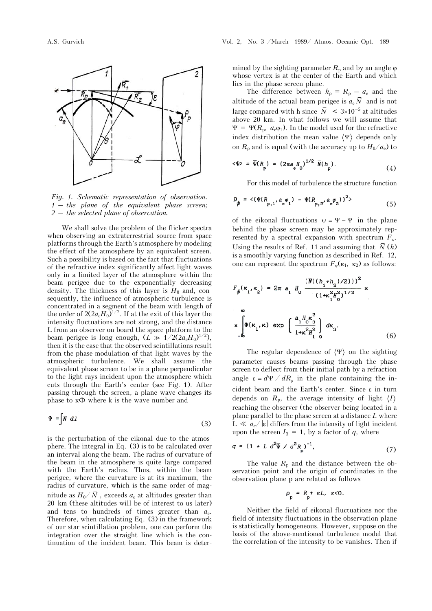

*Fig. 1. Schematic representation of observation. 1 – the plane of the equivalent phase screen; 2 – the selected plane of observation.* 

We shall solve the problem of the flicker spectra when observing an extraterrestrial source from space platforms through the Earth's atmosphere by modeling the effect of the atmosphere by an equivalent screen. Such a possibility is based on the fact that fluctuations of the refractive index significantly affect light waves only in a limited layer of the atmosphere within the beam perigee due to the exponentially decreasing density. The thickness of this layer is  $H_0$  and, consequently, the influence of atmospheric turbulence is concentrated in a segment of the beam with length of the order of  $2(2a_eH_0)^{1/2}$ . If at the exit of this layer the intensity fluctuations are not strong, and the distance L from an observer on board the space platform to the beam perigee is long enough,  $(L \gg 1/2(2a_eH_0)^{1/2})$ , then it is the case that the observed scintillations result from the phase modulation of that light waves by the atmospheric turbulence. We shall assume the equivalent phase screen to be in a plane perpendicular to the light rays incident upon the atmosphere which cuts through the Earth's center (see Fig. 1). After passing through the screen, a plane wave changes its phase to  $K\Phi$  where k is the wave number and

$$
\Psi = \int N \ d1 \tag{3}
$$

is the perturbation of the eikonal due to the atmosphere. The integral in Eq. (3) is to be calculated over an interval along the beam. The radius of curvature of the beam in the atmosphere is quite large compared with the Earth's radius. Thus, within the beam perigee, where the curvature is at its maximum, the radius of curvature, which is the same order of magnitude as  $H_0/\bar{N}$ , exceeds  $a_e$  at altitudes greater than 20 km (these altitudes will be of interest to us later) and tens to hundreds of times greater than *a*e. Therefore, when calculating Eq. (3) in the framework of our star scintillation problem, one can perform the integration over the straight line which is the continuation of the incident beam. This beam is determined by the sighting parameter  $R_p$  and by an angle  $\varphi$ whose vertex is at the center of the Earth and which lies in the phase screen plane.

The difference between  $h_p = R_p - a_e$  and the altitude of the actual beam perigee is  $a_e\overline{N}$  and is not large compared with h since  $\overline{N}$  < 3×10<sup>-5</sup> at altitudes above 20 km. In what follows we will assume that  $\Psi = \Psi(R_{\rm p}, a_{\rm e}\varphi_1)$ . In the model used for the refractive index distribution the mean value  $\langle \Psi \rangle$  depends only on  $R_p$  and is equal (with the accuracy up to  $H_0/a_e$ ) to

$$
\langle \Psi \rangle = \overline{\Psi}(R_p) = (2\pi a \frac{\mu}{e} 0)^{1/2} \overline{N}(h_p).
$$
 (4)

For this model of turbulence the structure function

$$
D_{\psi} = \langle (\Psi(R_{p,1}, a_{e}\varphi_{1}) - \Psi(R_{p,2}, a_{e}\varphi_{2}))^{2} \rangle
$$
 (5)

of the eikonal fluctuations  $\psi = \Psi - \overline{\Psi}$  in the plane behind the phase screen may be approximately represented by a spectral expansion with spectrum  $F_{\nu}$ . Using the results of Ref. 11 and assuming that  $\bar{N}(h)$ is a smoothly varying function as described in Ref. 12, one can represent the spectrum  $F_{\psi}(\kappa_1, \kappa_2)$  as follows:

$$
F_{\psi}(\kappa_1, \kappa_2) = 2\pi a_1 H_0 \frac{(\bar{N}((h_1 + h_2)/2)))^2}{(1 + \kappa_1^2 H_0^2)^{1/2}} \times
$$
  

$$
\int_{-\infty}^{\infty} \Phi(\kappa_1, \kappa) \exp\left(\frac{a_1 H_0 \kappa_3^2}{1 + \kappa^2 H_1^2}\right) d\kappa_3.
$$
 (6)

The regular dependence of  $\langle \Psi \rangle$  on the sighting parameter causes beams passing through the phase screen to deflect from their initial path by a refraction angle  $\varepsilon = d\overline{\Psi} / dR$  in the plane containing the incident beam and the Earth's center. Since  $\varepsilon$  in turn depends on  $R_p$ , the average intensity of light  $\langle I \rangle$ reaching the observer (the observer being located in a plane parallel to the phase screen at a distance *L* where  $L \ll a_e/|\varepsilon|$  differs from the intensity of light incident upon the screen  $I_3 = 1$ , by a factor of q, where

$$
q = (1 + L d^2 \bar{\Psi} / d^2 R_p)^{-1}, \tag{7}
$$

The value  $R_p$  and the distance between the observation point and the origin of coordinates in the observation plane p are related as follows

$$
\rho_{\rm p} = R_{\rm p} + \varepsilon L, \ \varepsilon < 0.
$$

Neither the field of eikonal fluctuations nor the field of intensity fluctuations in the observation plane is statistically homogeneous. However, suppose on the basis of the above-mentioned turbulence model that the correlation of the intensity to be vanishes. Then if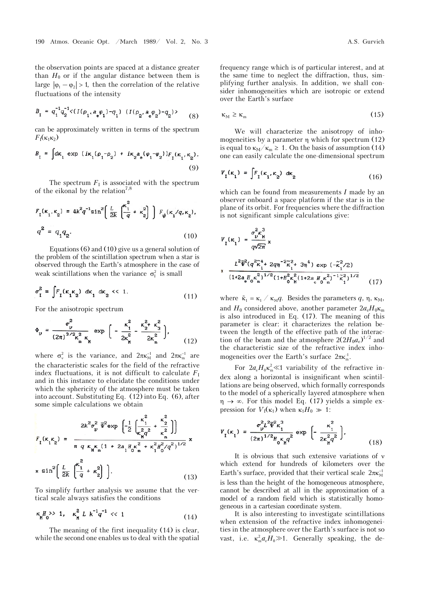the observation points are spaced at a distance greater than  $H_0$  or if the angular distance between them is large  $|\varphi_1 - \varphi_2| > 1$ , then the correlation of the relative fluctuations of the intensity

$$
B_{I} = q_{1}^{-1}q_{2}^{-1} \langle (I(\rho_{1},a_{e}\varphi_{1})-q_{1}) \ (I(\rho_{2},a_{e}\varphi_{2})-q_{2}) \rangle \tag{8}
$$

can be approximately written in terms of the spectrum  $F_1(\kappa_1\kappa_2)$ 

$$
B_{I} = \int d\kappa_{1} \exp(i\kappa_{1}(\rho_{1} - \rho_{2}) + i\kappa_{2}a_{e}(\varphi_{1} - \varphi_{2}))F_{I}(\kappa_{1}, \kappa_{2}).
$$
\n(9)

The spectrum  $F<sub>I</sub>$  is associated with the spectrum of the eikonal by the relation<sup>7,8</sup>

$$
F_1(\kappa_1, \kappa_2) = 4k^2 q^{-1} \sin^2 \left( \frac{L}{2k} \left( \frac{\kappa_1^2}{q} + \kappa_2^2 \right) \right) F_{\psi}(\kappa_1 / q, \kappa_2),
$$
  

$$
q^2 = q_1 q_2.
$$
 (10)

Equations (6) and (10) give us a general solution of the problem of the scintillation spectrum when a star is observed through the Earth's atmosphere in the case of weak scintillations when the variance  $\sigma_1^2$  is small

$$
\sigma_{I}^{2} = \int F_{I}(\kappa_{1}\kappa_{2}) d\kappa_{1} d\kappa_{2} \ll 1. \tag{11}
$$

For the anisotropic spectrum

$$
\Phi_{v} = \frac{\sigma_{v}^{2}}{(2\pi)^{3/2} \kappa_{m}^{2} \kappa_{H}} \exp\left(-\frac{\kappa_{1}^{2}}{2\kappa_{H}^{2}} - \frac{\kappa_{2}^{2} + \kappa_{3}^{2}}{2\kappa_{m}^{2}}\right),\tag{12}
$$

where  $\sigma_v^2$  is the variance, and  $2\pi\kappa_M^{-1}$  and  $2\pi\kappa_m^{-1}$  are the characteristic scales for the field of the refractive index fluctuations, it is not difficult to calculate  $F<sub>I</sub>$ and in this instance to elucidate the conditions under which the sphericity of the atmosphere must be taken into account. Substituting Eq. (12) into Eq. (6), after some simple calculations we obtain

$$
R_{\rm r}(\kappa_{\rm r} \kappa_{\rm r}) = \frac{2k^2 \sigma_{\rm p}^2 \bar{\Psi}^2 \exp\left(-\frac{1}{2}\left(\frac{\kappa_{\rm r}^2}{\kappa_{\rm n}^2 \sigma^2} + \frac{\kappa_{\rm r}^2}{\kappa_{\rm n}^2}\right)\right)}{\pi q \kappa_{\rm n} \kappa_{\rm n} (1 + 2a_{\rm r} H_0 \kappa_{\rm m}^2 + \kappa_{\rm r}^2 H_0^2 / q^2)^{1/2}} \times \sin^2\left(\frac{L}{2k}\left(\frac{\kappa_{\rm r}^2}{q} + \kappa_{\rm r}^2\right)\right). \tag{13}
$$

To simplify further analysis we assume that the vertical scale always satisfies the conditions

$$
\kappa_{\mathbf{M}}^{H} \to 1, \quad \kappa_{\mathbf{M}}^{2} L \ \kappa^{-1} q^{-1} \ll 1 \tag{14}
$$

The meaning of the first inequality (14) is clear, while the second one enables us to deal with the spatial

frequency range which is of particular interest, and at the same time to neglect the diffraction, thus, simplifying further analysis. In addition, we shall consider inhomogeneities which are isotropic or extend over the Earth's surface

$$
\kappa_{\rm M} \ge \kappa_{\rm m} \tag{15}
$$

We will characterize the anisotropy of inhomogeneities by a parameter  $\eta$  which for spectrum (12) is equal to  $\kappa_M/\kappa_m \geq 1$ . On the basis of assumption (14) one can easily calculate the one-dimensional spectrum

$$
V_{I}(\kappa_{1}) = \int F_{I}(\kappa_{1}, \kappa_{2}) d\kappa_{2}
$$
 (16)

which can be found from measurements *I* made by an observer onboard a space platform if the star is in the plane of its orbit. For frequencies where the diffraction is not significant simple calculations give:

$$
V_{I}(\kappa_{1}) = \frac{\sigma_{\nu}^{2} \kappa_{H}^{3}}{q\sqrt{2\pi}} \times
$$
  

$$
\frac{L^{2} \overline{\Psi}^{2} (q^{2} \kappa_{1}^{4} + 2q\eta^{-2} \kappa_{1}^{2} + 3\eta^{4}) \exp(-\kappa_{1}^{2}/2)}{(1 + 2a_{e} H_{0} \kappa_{H}^{2})^{1/2} (1 + H_{0}^{2} \kappa_{H}^{2} (1 + 2a_{e} H_{0} \kappa_{H}^{2})^{-1} \kappa_{1}^{2})^{1/2}}
$$
(17)

where  $\tilde{\kappa}_1 = \kappa_1 / \kappa_M q$ . Besides the parameters q,  $\eta$ ,  $\kappa_M$ , and  $H_0$  considered above, another parameter  $2a_eH_0\kappa_m$ is also introduced in Eq. (17). The meaning of this parameter is clear: it characterizes the relation between the length of the effective path of the interaction of the beam and the atmosphere  $2(2H_0a_e)^{1/2}$  and the characteristic size of the refractive index inhomogeneities over the Earth's surface  $2\pi\kappa_m^1$ .

For  $2a_e H_0 \kappa_m^2 \ll 1$  variability of the refractive index along a horizontal is insignificant when scintillations are being observed, which formally corresponds to the model of a spherically layered atmosphere when  $\eta \rightarrow \infty$ . For this model Eq. (17) yields a simple expression for  $V_1(\kappa_1)$  when  $\kappa_1 H_0 \gg 1$ :

$$
V_{I}(\kappa_{1}) = \frac{\sigma_{\nu}^{2} L^{2} \overline{\Psi}^{2} \kappa_{1}^{3}}{(2\pi)^{1/2} H_{0} \kappa_{\mathbf{M}} q^{2}} \exp\left[-\frac{\kappa_{1}^{2}}{2\kappa_{\mathbf{M}}^{2} q^{2}}\right],
$$
\n(18)

It is obvious that such extensive variations of v which extend for hundreds of kilometers over the Earth's surface, provided that their vertical scale  $2\pi\kappa_M^{-1}$ is less than the height of the homogeneous atmosphere, cannot be described at all in the approximation of a model of a random field which is statistically homogeneous in a cartesian coordinate system.

It is also interesting to investigate scintillations when extension of the refractive index inhomogeneities in the atmosphere over the Earth's surface is not so vast, i.e.  $\kappa_{\rm m}^2 a_{\rm e} H_0 \gg 1$ . Generally speaking, the de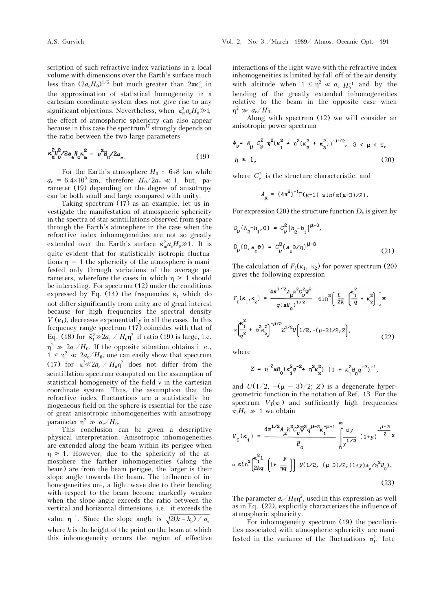scription of such refractive index variations in a local volume with dimensions over the Earth's surface much less than  $(2a_eH_0)^{1/2}$  but much greater than  $2\pi\kappa_m^{-1}$  in the approximation of statistical homogeneity in a cartesian coordinate system does not give rise to any significant objections. Nevertheless, when  $\kappa_m^2 a_{\alpha} H_0 \gg 1$ , the effect of atmospheric sphericity can also appear because in this case the spectrum<sup>17</sup> strongly depends on the ratio between the two large parameters

$$
\kappa_{\rm M}^{2} h^2 / 2 a_{\rm e} H_{\rm o} \kappa_{\rm m}^{2} = \eta^2 H_{\rm o} / 2 a_{\rm e} \tag{19}
$$

For the Earth's atmosphere  $H_0 \approx 6\div 8$  km while  $a_e = 6.4 \times 10^3$  km, therefore  $H_0/2a_e \ll 1$ , but, parameter (19) depending on the degree of anisotropy can be both small and large compared with unity.

Taking spectrum (17) as an example, let us investigate the manifestation of atmospheric sphericity in the spectra of star scintillations observed from space through the Earth's atmosphere in the case when the refractive index inhomogeneities are not so greatly extended over the Earth's surface  $\kappa_m^2 a_e H_0 \gg 1$ . It is quite evident that for statistically isotropic fluctuations  $\eta = 1$  the sphericity of the atmosphere is manifested only through variations of the average parameters, wherefore the cases in which  $\eta > 1$  should be interesting. For spectrum (12) under the conditions expressed by Eq. (14) the frequencies  $\tilde{\kappa}_1$  which do not differ significantly from unity are of great interest because for high frequencies the spectral density  $V_1(\kappa_1)$ , decreases exponentially in all the cases. In this frequency range spectrum (17) coincides with that of Eq. (18) for  $\tilde{\kappa}_1^2 \gg 2a_e / H_0 \eta^2$  if ratio (19) is large, i.e.  $\eta^2 \gg 2a_e/H_0$ . If the opposite situation obtains i. e.,  $1 \leq \eta^2 \ll 2a_e/H_0$ , one can easily show that spectrum (17) for  $\kappa_1^2 \ll 2a_e / H_0 \eta^2$  does not differ from the scintillation spectrum computed on the assumption of statistical homogeneity of the field  $\nu$  in the cartesian coordinate system. Thus, the assumption that the refractive index fluctuations are a statistically homogeneous field on the sphere is essential for the case of great anisotropic inhomogeneities with anisotropy parameter  $\eta^2 \gg a_e/H_0$ .

This conclusion can be given a descriptive physical interpretation. Anisotropic inhomogeneities are extended along the beam within its perigee when  $\eta > 1$ . However, due to the sphericity of the atmosphere the farther inhomogeneities (along the beam) are from the beam perigee, the larger is their slope angle towards the beam. The influence of inhomogeneities on-, a light wave due to their bending with respect to the beam become markedly weaker when the slope angle exceeds the ratio between the vertical and horizontal dimensions, i.e.. it exceeds the value  $\eta^{-1}$ . Since the slope angle is  $\sqrt{2(h - h_p)/a_e}$ where *h* is the height of the point on the beam at which this inhomogeneity occurs the region of effective

interactions of the light wave with the refractive index inhomogeneities is limited by fall off of the air density with altitude when  $1 \le \eta^2 \ll a_e H_0^{-1}$  and by the bending of the greatly extended inhomogeneities relative to the beam in the opposite case when  $\eta^2 \gg a_e/H_0$ .

Along with spectrum (12) we will consider an anisotropic power spectrum

$$
\Phi_{\nu} = A_{\mu} C_{\nu}^{2} n^{2} (\kappa_{1}^{2} + n^{2} (\kappa_{2}^{2} + \kappa_{3}^{2}))^{-\mu/2}, \quad 3 < \mu < 5,
$$
  
\n
$$
\eta \ge 1, \tag{20}
$$

where  $C_v^2$  is the structure characteristic, and

$$
A_{\mu} = (4\pi^2)^{-1} \Gamma(\mu - 1) \sin(\pi(\mu - 3)/2).
$$

For expression (20) the structure function  $D<sub>v</sub>$  is given by

$$
D_{\nu} (h_2 - h_1, 0) = C_{\nu}^2 |h_2 - h_1|^{ \mu - 3},
$$
  

$$
D_{\nu} (0, a_e \theta) = C_{\nu}^2 (a_e \theta / \eta)^{ \mu - 3}
$$
 (21)

The calculation of  $F_1(\kappa_1, \kappa_2)$  for power spectrum (20) gives the following expression

$$
F_{I}(\kappa_{1}, \kappa_{2}) = \frac{4\pi^{1/2} A_{\mu} k^{2} c_{\nu}^{2} \overline{\Psi}^{2}}{q(aH_{0})^{1/2}} \sin^{2} \left(\frac{L}{2k} \left(\frac{\kappa_{1}^{2}}{q} + \kappa_{2}^{2}\right)\right) \times
$$

$$
\times \left(\frac{\kappa_{1}^{2}}{q^{2}} + \eta^{2} \kappa_{2}^{2}\right)^{-\mu/2} Z^{1/2} U\left[1/2, -(\mu - 3)/2; Z\right],
$$
(22)

where

$$
Z = \eta^{-2} a H_0 (\kappa_1^2 q^{-2} + \eta^2 \kappa_2^2) (1 + \kappa_1^2 H_0 q^{-2})^{-1},
$$

and  $U(1/2, -(\mu - 3)/2; Z)$  is a degenerate hypergeometric function in the notation of Ref. 13. For the spectrum  $V_1(\kappa_1)$  and sufficiently high frequencies  $\kappa_1 H_0 \gg 1$  we obtain

$$
V_{I}(\kappa_{1}) = \frac{4\pi^{1/2} A_{\mu} k^{2} C_{\nu}^{2} \overline{\Psi}^{2} q^{\mu-2} \kappa_{1}^{-\mu+1}}{H_{0}} \int_{y^{1/2}}^{x^{2}} (1+y)^{-\frac{\mu-2}{2}} \mathbf{x}
$$

$$
\times \sin^{2} \left(\frac{\kappa_{1}^{2} L}{2kq} \left[1+\frac{y}{\eta q}\right]\right) U(1/2, -(\mu-3)/2; (1+y) a_{e} / \eta^{2} H_{0}).
$$
(23)

The parameter  $a_e/H_0 \eta^2$ , used in this expression as well as in Eq. (22), explicitly characterizes the influence of atmospheric sphericity.

For inhomogeneity spectrum (19) the peculiarities associated with atmospheric sphericity are manifested in the variance of the fluctuations  $\sigma_{I}^{2}$ . Inte